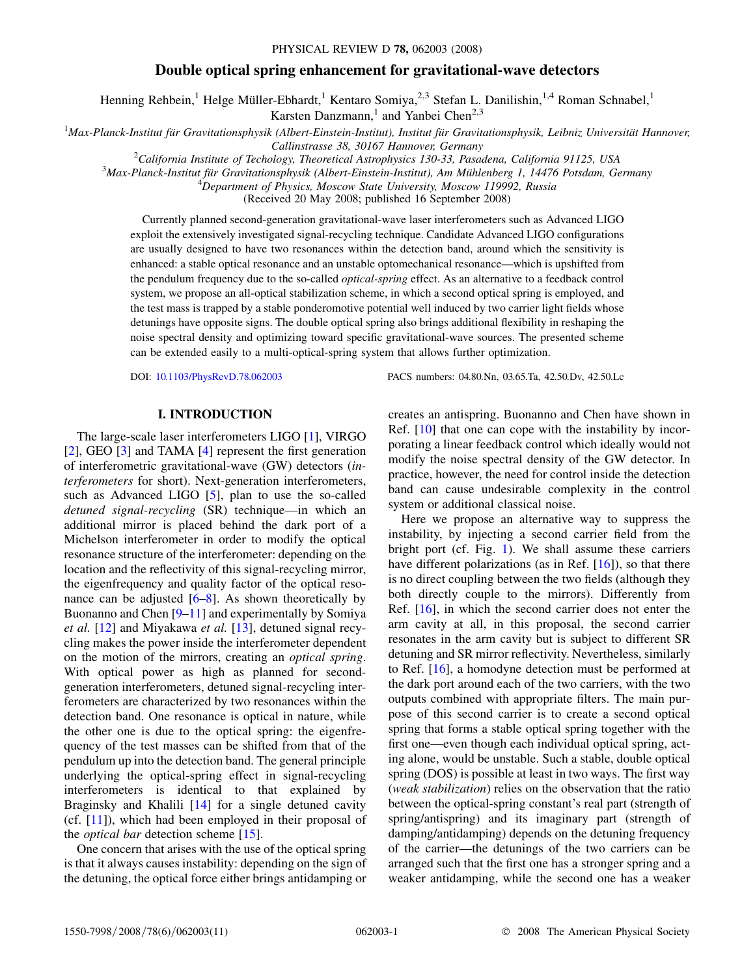# Double optical spring enhancement for gravitational-wave detectors

Henning Rehbein,<sup>1</sup> Helge Müller-Ebhardt,<sup>1</sup> Kentaro Somiya,<sup>2,3</sup> Stefan L. Danilishin,<sup>1,4</sup> Roman Schnabel,<sup>1</sup>

Karsten Danzmann,<sup>1</sup> and Yanbei Chen<sup>2,3</sup>

 $1$ Max-Planck-Institut für Gravitationsphysik (Albert-Einstein-Institut), Institut für Gravitationsphysik, Leibniz Universität Hannover,

Callinstrasse 38, 30167 Hannover, Germany<br><sup>2</sup>California Institute of Techology, Theoretical Astrophysics 130, 33, Pasa

<sup>2</sup>California Institute of Techology, Theoretical Astrophysics 130-33, Pasadena, California 91125, USA <sup>3</sup>Max Blanck Institut für Cravitationsphysik (Albert Finstein Institut) Am Mühlenberg 1, 14476 Petedam, Ca

 ${}^{3}$ Max-Planck-Institut für Gravitationsphysik (Albert-Einstein-Institut), Am Mühlenberg 1, 14476 Potsdam, Germany

<sup>4</sup>Department of Physics, Moscow State University, Moscow 119992, Russia

(Received 20 May 2008; published 16 September 2008)

Currently planned second-generation gravitational-wave laser interferometers such as Advanced LIGO exploit the extensively investigated signal-recycling technique. Candidate Advanced LIGO configurations are usually designed to have two resonances within the detection band, around which the sensitivity is enhanced: a stable optical resonance and an unstable optomechanical resonance—which is upshifted from the pendulum frequency due to the so-called *optical-spring* effect. As an alternative to a feedback control system, we propose an all-optical stabilization scheme, in which a second optical spring is employed, and the test mass is trapped by a stable ponderomotive potential well induced by two carrier light fields whose detunings have opposite signs. The double optical spring also brings additional flexibility in reshaping the noise spectral density and optimizing toward specific gravitational-wave sources. The presented scheme can be extended easily to a multi-optical-spring system that allows further optimization.

#### I. INTRODUCTION

The large-scale laser interferometers LIGO [1], VIRGO [2], GEO [3] and TAMA [\[4](#page-9-0)] represent the first generation of interferometric gravitational-wave (GW) detectors (interferometers for short). Next-generation interferometers, such as Advanced LIGO [\[5](#page-9-0)], plan to use the so-called detuned signal-recycling (SR) technique—in which an additional mirror is placed behind the dark port of a Michelson interferometer in order to modify the optical resonance structure of the interferometer: depending on the location and the reflectivity of this signal-recycling mirror, the eigenfrequency and quality factor of the optical resonance can be adjusted  $[6–8]$  $[6–8]$  $[6–8]$ . As shown theoretically by Buonanno and Chen [[9–](#page-10-0)11] and experimentally by Somiya et al. [12] and Miyakawa et al. [13], detuned signal recycling makes the power inside the interferometer dependent on the motion of the mirrors, creating an optical spring. With optical power as high as planned for secondgeneration interferometers, detuned signal-recycling interferometers are characterized by two resonances within the detection band. One resonance is optical in nature, while the other one is due to the optical spring: the eigenfrequency of the test masses can be shifted from that of the pendulum up into the detection band. The general principle underlying the optical-spring effect in signal-recycling interferometers is identical to that explained by Braginsky and Khalili [14] for a single detuned cavity (cf.  $[11]$ ), which had been employed in their proposal of the *optical bar* detection scheme [15].

One concern that arises with the use of the optical spring is that it always causes instability: depending on the sign of the detuning, the optical force either brings antidamping or

DOI: [10.1103/PhysRevD.78.062003](http://dx.doi.org/10.1103/PhysRevD.78.062003) PACS numbers: 04.80.Nn, 03.65.Ta, 42.50.Dv, 42.50.Lc

creates an antispring. Buonanno and Chen have shown in Ref. [10] that one can cope with the instability by incorporating a linear feedback control which ideally would not modify the noise spectral density of the GW detector. In practice, however, the need for control inside the detection band can cause undesirable complexity in the control system or additional classical noise.

Here we propose an alternative way to suppress the instability, by injecting a second carrier field from the bright port (cf. Fig. [1](#page-1-0)). We shall assume these carriers have different polarizations (as in Ref.  $[16]$ ), so that there is no direct coupling between the two fields (although they both directly couple to the mirrors). Differently from Ref. [16], in which the second carrier does not enter the arm cavity at all, in this proposal, the second carrier resonates in the arm cavity but is subject to different SR detuning and SR mirror reflectivity. Nevertheless, similarly to Ref. [16], a homodyne detection must be performed at the dark port around each of the two carriers, with the two outputs combined with appropriate filters. The main purpose of this second carrier is to create a second optical spring that forms a stable optical spring together with the first one—even though each individual optical spring, acting alone, would be unstable. Such a stable, double optical spring (DOS) is possible at least in two ways. The first way (weak stabilization) relies on the observation that the ratio between the optical-spring constant's real part (strength of spring/antispring) and its imaginary part (strength of damping/antidamping) depends on the detuning frequency of the carrier—the detunings of the two carriers can be arranged such that the first one has a stronger spring and a weaker antidamping, while the second one has a weaker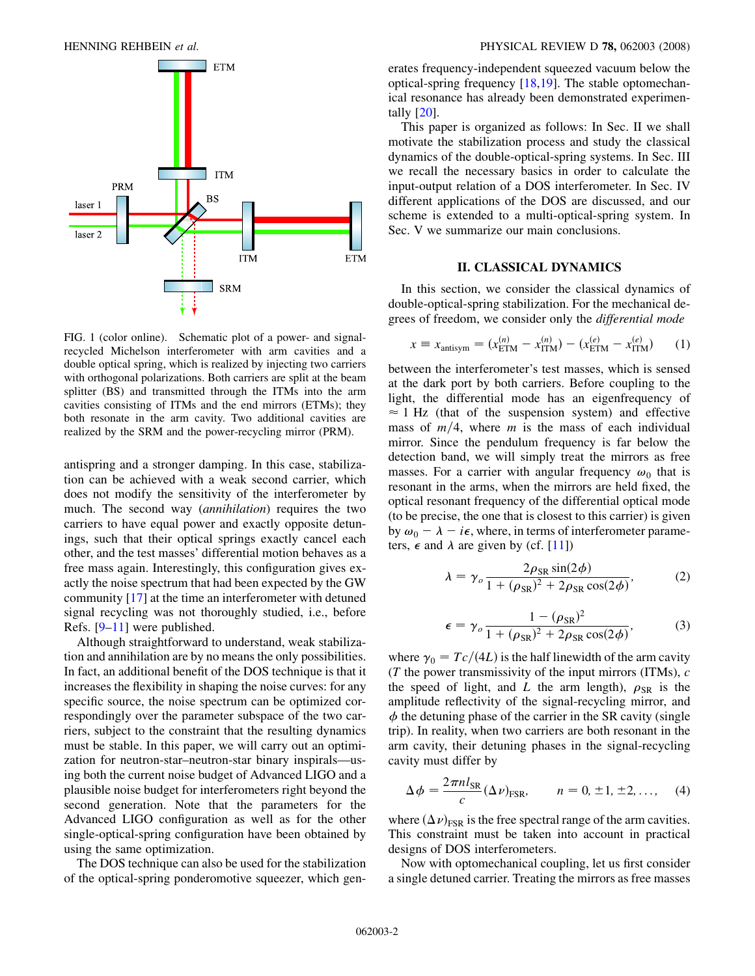<span id="page-1-0"></span>

FIG. 1 (color online). Schematic plot of a power- and signalrecycled Michelson interferometer with arm cavities and a double optical spring, which is realized by injecting two carriers with orthogonal polarizations. Both carriers are split at the beam splitter (BS) and transmitted through the ITMs into the arm cavities consisting of ITMs and the end mirrors (ETMs); they both resonate in the arm cavity. Two additional cavities are realized by the SRM and the power-recycling mirror (PRM).

antispring and a stronger damping. In this case, stabilization can be achieved with a weak second carrier, which does not modify the sensitivity of the interferometer by much. The second way (annihilation) requires the two carriers to have equal power and exactly opposite detunings, such that their optical springs exactly cancel each other, and the test masses' differential motion behaves as a free mass again. Interestingly, this configuration gives exactly the noise spectrum that had been expected by the GW community [17] at the time an interferometer with detuned signal recycling was not thoroughly studied, i.e., before Refs. [\[9](#page-10-0)–11] were published.

Although straightforward to understand, weak stabilization and annihilation are by no means the only possibilities. In fact, an additional benefit of the DOS technique is that it increases the flexibility in shaping the noise curves: for any specific source, the noise spectrum can be optimized correspondingly over the parameter subspace of the two carriers, subject to the constraint that the resulting dynamics must be stable. In this paper, we will carry out an optimization for neutron-star–neutron-star binary inspirals—using both the current noise budget of Advanced LIGO and a plausible noise budget for interferometers right beyond the second generation. Note that the parameters for the Advanced LIGO configuration as well as for the other single-optical-spring configuration have been obtained by using the same optimization.

The DOS technique can also be used for the stabilization of the optical-spring ponderomotive squeezer, which generates frequency-independent squeezed vacuum below the optical-spring frequency [18,19]. The stable optomechanical resonance has already been demonstrated experimentally [20].

This paper is organized as follows: In Sec. II we shall motivate the stabilization process and study the classical dynamics of the double-optical-spring systems. In Sec. III we recall the necessary basics in order to calculate the input-output relation of a DOS interferometer. In Sec. IV different applications of the DOS are discussed, and our scheme is extended to a multi-optical-spring system. In Sec. V we summarize our main conclusions.

#### II. CLASSICAL DYNAMICS

<span id="page-1-1"></span>In this section, we consider the classical dynamics of double-optical-spring stabilization. For the mechanical degrees of freedom, we consider only the differential mode

$$
x = x_{\text{antisym}} = (x_{\text{ETM}}^{(n)} - x_{\text{ITM}}^{(n)}) - (x_{\text{ETM}}^{(e)} - x_{\text{ITM}}^{(e)}) \tag{1}
$$

between the interferometer's test masses, which is sensed at the dark port by both carriers. Before coupling to the light, the differential mode has an eigenfrequency of  $\approx$  1 Hz (that of the suspension system) and effective mass of  $m/4$ , where m is the mass of each individual mirror. Since the pendulum frequency is far below the detection band, we will simply treat the mirrors as free masses. For a carrier with angular frequency  $\omega_0$  that is resonant in the arms, when the mirrors are held fixed, the optical resonant frequency of the differential optical mode (to be precise, the one that is closest to this carrier) is given by  $\omega_0 - \lambda - i\epsilon$ , where, in terms of interferometer parameters,  $\epsilon$  and  $\lambda$  are given by (cf. [11])

$$
\lambda = \gamma_o \frac{2\rho_{\rm SR} \sin(2\phi)}{1 + (\rho_{\rm SR})^2 + 2\rho_{\rm SR} \cos(2\phi)},\tag{2}
$$

$$
\epsilon = \gamma_o \frac{1 - (\rho_{\rm SR})^2}{1 + (\rho_{\rm SR})^2 + 2\rho_{\rm SR} \cos(2\phi)},\tag{3}
$$

where  $\gamma_0 = Tc/(4L)$  is the half linewidth of the arm cavity (T the power transmissivity of the input mirrors (ITMs),  $c$ the speed of light, and L the arm length),  $\rho_{SR}$  is the amplitude reflectivity of the signal-recycling mirror, and  $\phi$  the detuning phase of the carrier in the SR cavity (single trip). In reality, when two carriers are both resonant in the arm cavity, their detuning phases in the signal-recycling cavity must differ by

-

$$
\Delta \phi = \frac{2\pi n l_{\rm SR}}{c} (\Delta \nu)_{\rm FSR}, \qquad n = 0, \pm 1, \pm 2, \dots, \quad (4)
$$

where  $(\Delta \nu)_{FSR}$  is the free spectral range of the arm cavities. This constraint must be taken into account in practical designs of DOS interferometers.

Now with optomechanical coupling, let us first consider a single detuned carrier. Treating the mirrors as free masses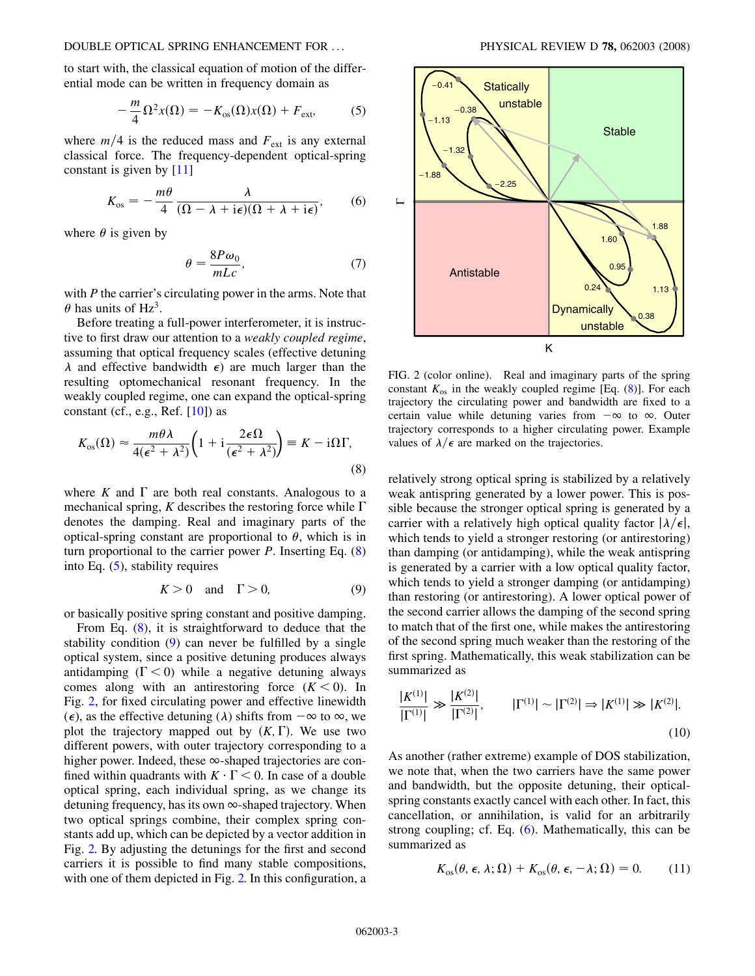<span id="page-2-0"></span>to start with, the classical equation of motion of the differential mode can be written in frequency domain as

$$
-\frac{m}{4}\Omega^2 x(\Omega) = -K_{\text{os}}(\Omega)x(\Omega) + F_{\text{ext}},\tag{5}
$$

where  $m/4$  is the reduced mass and  $F_{ext}$  is any external classical force. The frequency-dependent optical-spring constant is given by [11]

$$
K_{\text{os}} = -\frac{m\theta}{4} \frac{\lambda}{(\Omega - \lambda + i\epsilon)(\Omega + \lambda + i\epsilon)},\qquad(6)
$$

where  $\theta$  is given by

$$
\theta = \frac{8P\omega_0}{mLc},\tag{7}
$$

with  $P$  the carrier's circulating power in the arms. Note that  $\theta$  has units of Hz<sup>3</sup>.

Before treating a full-power interferometer, it is instructive to first draw our attention to a *weakly coupled regime*, assuming that optical frequency scales (effective detuning  $\lambda$  and effective bandwidth  $\epsilon$ ) are much larger than the resulting optomechanical resonant frequency. In the weakly coupled regime, one can expand the optical-spring constant (cf., e.g., Ref.  $[10]$ ) as

$$
K_{\text{os}}(\Omega) \approx \frac{m\theta\lambda}{4(\epsilon^2 + \lambda^2)} \left(1 + \mathrm{i}\frac{2\epsilon\Omega}{(\epsilon^2 + \lambda^2)}\right) \equiv K - \mathrm{i}\Omega\Gamma,
$$
\n(8)

where K and  $\Gamma$  are both real constants. Analogous to a mechanical spring, K describes the restoring force while  $\Gamma$ denotes the damping. Real and imaginary parts of the optical-spring constant are proportional to  $\theta$ , which is in turn proportional to the carrier power  $P$ . Inserting Eq.  $(8)$ into Eq. (5), stability requires

$$
K > 0 \quad \text{and} \quad \Gamma > 0,\tag{9}
$$

or basically positive spring constant and positive damping.

From Eq. (8), it is straightforward to deduce that the stability condition (9) can never be fulfilled by a single optical system, since a positive detuning produces always antidamping  $(\Gamma < 0)$  while a negative detuning always comes along with an antirestoring force  $(K < 0)$ . In Fig. 2, for fixed circulating power and effective linewidth ( $\epsilon$ ), as the effective detuning ( $\lambda$ ) shifts from  $-\infty$  to  $\infty$ , we plot the trajectory mapped out by  $(K, \Gamma)$ . We use two different powers, with outer trajectory corresponding to a higher power. Indeed, these  $\infty$ -shaped trajectories are confined within quadrants with  $K \cdot \Gamma < 0$ . In case of a double optical spring, each individual spring, as we change its detuning frequency, has its own  $\infty$ -shaped trajectory. When two optical springs combine, their complex spring constants add up, which can be depicted by a vector addition in Fig. 2. By adjusting the detunings for the first and second carriers it is possible to find many stable compositions, with one of them depicted in Fig. 2. In this configuration, a



FIG. 2 (color online). Real and imaginary parts of the spring constant  $K_{\text{os}}$  in the weakly coupled regime [Eq. (8)]. For each trajectory the circulating power and bandwidth are fixed to a certain value while detuning varies from  $-\infty$  to  $\infty$ . Outer trajectory corresponds to a higher circulating power. Example values of  $\lambda/\epsilon$  are marked on the trajectories.

relatively strong optical spring is stabilized by a relatively weak antispring generated by a lower power. This is possible because the stronger optical spring is generated by a carrier with a relatively high optical quality factor  $|\lambda/\epsilon|$ , which tends to yield a stronger restoring (or antirestoring) than damping (or antidamping), while the weak antispring is generated by a carrier with a low optical quality factor, which tends to yield a stronger damping (or antidamping) than restoring (or antirestoring). A lower optical power of the second carrier allows the damping of the second spring to match that of the first one, while makes the antirestoring of the second spring much weaker than the restoring of the first spring. Mathematically, this weak stabilization can be summarized as

$$
\frac{|K^{(1)}|}{|\Gamma^{(1)}|} \gg \frac{|K^{(2)}|}{|\Gamma^{(2)}|}, \qquad |\Gamma^{(1)}| \sim |\Gamma^{(2)}| \Rightarrow |K^{(1)}| \gg |K^{(2)}|.
$$
\n(10)

As another (rather extreme) example of DOS stabilization, we note that, when the two carriers have the same power and bandwidth, but the opposite detuning, their opticalspring constants exactly cancel with each other. In fact, this cancellation, or annihilation, is valid for an arbitrarily strong coupling; cf. Eq. (6). Mathematically, this can be summarized as

$$
K_{\text{os}}(\theta, \epsilon, \lambda; \Omega) + K_{\text{os}}(\theta, \epsilon, -\lambda; \Omega) = 0. \tag{11}
$$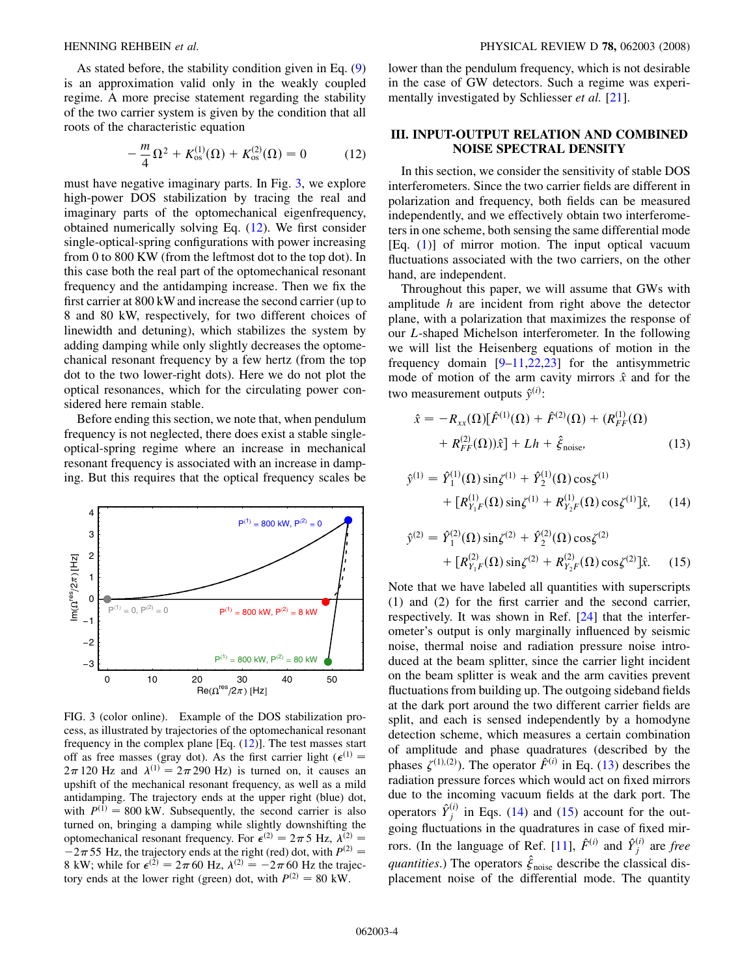<span id="page-3-0"></span>

As stated before, the stability condition given in Eq. [\(9\)](#page-2-0) is an approximation valid only in the weakly coupled regime. A more precise statement regarding the stability of the two carrier system is given by the condition that all roots of the characteristic equation

$$
-\frac{m}{4}\Omega^2 + K_{\text{os}}^{(1)}(\Omega) + K_{\text{os}}^{(2)}(\Omega) = 0 \tag{12}
$$

must have negative imaginary parts. In Fig. 3, we explore high-power DOS stabilization by tracing the real and imaginary parts of the optomechanical eigenfrequency, obtained numerically solving Eq. (12). We first consider single-optical-spring configurations with power increasing from 0 to 800 KW (from the leftmost dot to the top dot). In this case both the real part of the optomechanical resonant frequency and the antidamping increase. Then we fix the first carrier at 800 kW and increase the second carrier (up to 8 and 80 kW, respectively, for two different choices of linewidth and detuning), which stabilizes the system by adding damping while only slightly decreases the optomechanical resonant frequency by a few hertz (from the top dot to the two lower-right dots). Here we do not plot the optical resonances, which for the circulating power considered here remain stable.

Before ending this section, we note that, when pendulum frequency is not neglected, there does exist a stable singleoptical-spring regime where an increase in mechanical resonant frequency is associated with an increase in damping. But this requires that the optical frequency scales be



FIG. 3 (color online). Example of the DOS stabilization process, as illustrated by trajectories of the optomechanical resonant frequency in the complex plane [Eq.  $(12)$ ]. The test masses start off as free masses (gray dot). As the first carrier light ( $\epsilon$ <sup>(1)</sup> =  $2\pi$  120 Hz and  $\lambda^{(1)} = 2\pi$  290 Hz) is turned on, it causes an upshift of the mechanical resonant frequency, as well as a mild antidamping. The trajectory ends at the upper right (blue) dot, with  $P^{(1)} = 800$  kW. Subsequently, the second carrier is also turned on, bringing a damping while slightly downshifting the optomechanical resonant frequency. For  $\epsilon^{(2)} = 2\pi 5$  Hz,  $\lambda^{(2)} =$  $-2\pi$  55 Hz, the trajectory ends at the right (red) dot, with  $P^{(2)} =$ 8 kW; while for  $\epsilon^{(2)} = 2\pi 60$  Hz,  $\lambda^{(2)} = -2\pi 60$  Hz the trajectory ends at the lower right (green) dot, with  $P^{(2)} = 80$  kW.

lower than the pendulum frequency, which is not desirable in the case of GW detectors. Such a regime was experimentally investigated by Schliesser *et al.* [21].

## III. INPUT-OUTPUT RELATION AND COMBINED NOISE SPECTRAL DENSITY

In this section, we consider the sensitivity of stable DOS interferometers. Since the two carrier fields are different in polarization and frequency, both fields can be measured independently, and we effectively obtain two interferometers in one scheme, both sensing the same differential mode [Eq. ([1\)](#page-1-1)] of mirror motion. The input optical vacuum fluctuations associated with the two carriers, on the other hand, are independent.

Throughout this paper, we will assume that GWs with amplitude  $h$  are incident from right above the detector plane, with a polarization that maximizes the response of our L-shaped Michelson interferometer. In the following we will list the Heisenberg equations of motion in the frequency domain  $[9-11,22,23]$  $[9-11,22,23]$  $[9-11,22,23]$  for the antisymmetric mode of motion of the arm cavity mirrors  $\hat{x}$  and for the two measurement outputs  $\hat{y}^{(i)}$ :

$$
\hat{x} = -R_{xx}(\Omega)[\hat{F}^{(1)}(\Omega) + \hat{F}^{(2)}(\Omega) + (R_{FF}^{(1)}(\Omega) + R_{FF}^{(2)}(\Omega))\hat{x}] + Lh + \hat{\xi}_{\text{noise}},
$$
\n(13)

$$
\hat{y}^{(1)} = \hat{Y}_1^{(1)}(\Omega) \sin \zeta^{(1)} + \hat{Y}_2^{(1)}(\Omega) \cos \zeta^{(1)} \n+ [R_{Y_1F}^{(1)}(\Omega) \sin \zeta^{(1)} + R_{Y_2F}^{(1)}(\Omega) \cos \zeta^{(1)}] \hat{x}, \quad (14)
$$

$$
\hat{y}^{(2)} = \hat{Y}_1^{(2)}(\Omega)\sin\xi^{(2)} + \hat{Y}_2^{(2)}(\Omega)\cos\xi^{(2)} \n+ [R_{Y_1F}^{(2)}(\Omega)\sin\xi^{(2)} + R_{Y_2F}^{(2)}(\Omega)\cos\xi^{(2)}]\hat{x}.
$$
\n(15)

Note that we have labeled all quantities with superscripts (1) and (2) for the first carrier and the second carrier, respectively. It was shown in Ref. [24] that the interferometer's output is only marginally influenced by seismic noise, thermal noise and radiation pressure noise introduced at the beam splitter, since the carrier light incident on the beam splitter is weak and the arm cavities prevent fluctuations from building up. The outgoing sideband fields at the dark port around the two different carrier fields are split, and each is sensed independently by a homodyne detection scheme, which measures a certain combination of amplitude and phase quadratures (described by the phases  $\zeta^{(1),(2)}$ ). The operator  $\hat{F}^{(i)}$  in Eq. (13) describes the radiation pressure forces which would act on fixed mirrors due to the incoming vacuum fields at the dark port. The operators  $\hat{Y}^{(i)}_j$  in Eqs. (14) and (15) account for the outgoing fluctuations in the quadratures in case of fixed mirrors. (In the language of Ref. [11],  $\hat{F}^{(i)}$  and  $\hat{Y}^{(i)}_j$  are free quantities.) The operators  $\hat{\xi}_{\text{noise}}$  describe the classical displacement noise of the differential mode. The quantity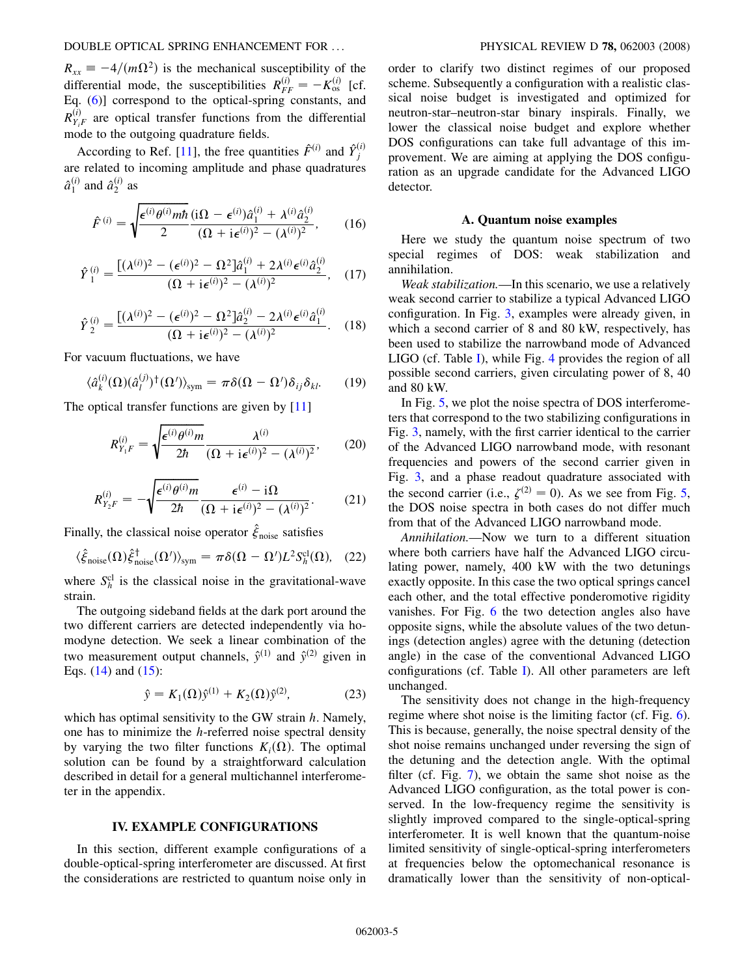$R_{xx} = -4/(m\Omega^2)$  is the mechanical susceptibility of the differential mode, the susceptibilities  $R_{FF}^{(i)} = -K_{os}^{(i)}$  [cf. Eq. [\(6\)](#page-2-0)] correspond to the optical-spring constants, and  $R_{Y_iF}^{(i)}$  are optical transfer functions from the differential mode to the outgoing quadrature fields.

According to Ref. [11], the free quantities  $\hat{F}^{(i)}$  and  $\hat{Y}^{(i)}_j$ are related to incoming amplitude and phase quadratures  $\hat{a}^{(i)}_1$  and  $\hat{a}^{(i)}_2$  as

$$
\hat{F}^{(i)} = \sqrt{\frac{\epsilon^{(i)}\theta^{(i)}m\hbar}{2}} \frac{(\mathrm{i}\Omega - \epsilon^{(i)})\hat{a}_1^{(i)} + \lambda^{(i)}\hat{a}_2^{(i)}}{(\Omega + \mathrm{i}\epsilon^{(i)})^2 - (\lambda^{(i)})^2},\qquad(16)
$$

$$
\hat{Y}_1^{(i)} = \frac{[(\lambda^{(i)})^2 - (\epsilon^{(i)})^2 - \Omega^2] \hat{a}_1^{(i)} + 2\lambda^{(i)} \epsilon^{(i)} \hat{a}_2^{(i)}}{(\Omega + i\epsilon^{(i)})^2 - (\lambda^{(i)})^2}, \quad (17)
$$

$$
\hat{Y}_{2}^{(i)} = \frac{[(\lambda^{(i)})^2 - (\epsilon^{(i)})^2 - \Omega^2] \hat{a}_{2}^{(i)} - 2\lambda^{(i)} \epsilon^{(i)} \hat{a}_{1}^{(i)}}{(\Omega + i\epsilon^{(i)})^2 - (\lambda^{(i)})^2}.
$$
 (18)

For vacuum fluctuations, we have

$$
\langle \hat{a}_{k}^{(i)}(\Omega)(\hat{a}_{l}^{(j)})^{\dagger}(\Omega') \rangle_{\text{sym}} = \pi \delta(\Omega - \Omega') \delta_{ij} \delta_{kl}. \tag{19}
$$

The optical transfer functions are given by [11]

$$
R_{Y_1F}^{(i)} = \sqrt{\frac{\epsilon^{(i)}\theta^{(i)}m}{2\hbar}} \frac{\lambda^{(i)}}{(\Omega + i\epsilon^{(i)})^2 - (\lambda^{(i)})^2},\qquad(20)
$$

$$
R_{Y_2F}^{(i)} = -\sqrt{\frac{\epsilon^{(i)}\theta^{(i)}m}{2\hbar}} \frac{\epsilon^{(i)} - i\Omega}{(\Omega + i\epsilon^{(i)})^2 - (\lambda^{(i)})^2}.
$$
 (21)

Finally, the classical noise operator  $\hat{\xi}_{\text{noise}}$  satisfies

$$
\langle \hat{\xi}_{\text{noise}}(\Omega) \hat{\xi}_{\text{noise}}^{\dagger}(\Omega') \rangle_{\text{sym}} = \pi \delta(\Omega - \Omega') L^2 S_h^{\text{cl}}(\Omega), \quad (22)
$$

where  $S_h^{\text{cl}}$  is the classical noise in the gravitational-wave strain.

The outgoing sideband fields at the dark port around the two different carriers are detected independently via homodyne detection. We seek a linear combination of the two measurement output channels,  $\hat{y}^{(1)}$  and  $\hat{y}^{(2)}$  given in Eqs. ([14](#page-3-0)) and [\(15\)](#page-3-0):

$$
\hat{y} = K_1(\Omega)\hat{y}^{(1)} + K_2(\Omega)\hat{y}^{(2)},
$$
\n(23)

which has optimal sensitivity to the GW strain  $h$ . Namely, one has to minimize the  $h$ -referred noise spectral density by varying the two filter functions  $K_i(\Omega)$ . The optimal solution can be found by a straightforward calculation described in detail for a general multichannel interferometer in the appendix.

## IV. EXAMPLE CONFIGURATIONS

In this section, different example configurations of a double-optical-spring interferometer are discussed. At first the considerations are restricted to quantum noise only in order to clarify two distinct regimes of our proposed scheme. Subsequently a configuration with a realistic classical noise budget is investigated and optimized for neutron-star–neutron-star binary inspirals. Finally, we lower the classical noise budget and explore whether DOS configurations can take full advantage of this improvement. We are aiming at applying the DOS configuration as an upgrade candidate for the Advanced LIGO detector.

#### A. Quantum noise examples

Here we study the quantum noise spectrum of two special regimes of DOS: weak stabilization and annihilation.

Weak stabilization.—In this scenario, we use a relatively weak second carrier to stabilize a typical Advanced LIGO configuration. In Fig. [3,](#page-3-0) examples were already given, in which a second carrier of 8 and 80 kW, respectively, has been used to stabilize the narrowband mode of Advanced LIGO (cf. Table [I\)](#page-5-0), while Fig. [4](#page-5-0) provides the region of all possible second carriers, given circulating power of 8, 40 and 80 kW.

In Fig. [5](#page-5-0), we plot the noise spectra of DOS interferometers that correspond to the two stabilizing configurations in Fig. [3,](#page-3-0) namely, with the first carrier identical to the carrier of the Advanced LIGO narrowband mode, with resonant frequencies and powers of the second carrier given in Fig. [3,](#page-3-0) and a phase readout quadrature associated with the second carrier (i.e.,  $\zeta^{(2)} = 0$ ). As we see from Fig. [5](#page-5-0), the DOS noise spectra in both cases do not differ much from that of the Advanced LIGO narrowband mode.

Annihilation.—Now we turn to a different situation where both carriers have half the Advanced LIGO circulating power, namely, 400 kW with the two detunings exactly opposite. In this case the two optical springs cancel each other, and the total effective ponderomotive rigidity vanishes. For Fig. [6](#page-6-0) the two detection angles also have opposite signs, while the absolute values of the two detunings (detection angles) agree with the detuning (detection angle) in the case of the conventional Advanced LIGO configurations (cf. Table [I](#page-5-0)). All other parameters are left unchanged.

The sensitivity does not change in the high-frequency regime where shot noise is the limiting factor (cf. Fig. [6\)](#page-6-0). This is because, generally, the noise spectral density of the shot noise remains unchanged under reversing the sign of the detuning and the detection angle. With the optimal filter (cf. Fig. [7](#page-6-0)), we obtain the same shot noise as the Advanced LIGO configuration, as the total power is conserved. In the low-frequency regime the sensitivity is slightly improved compared to the single-optical-spring interferometer. It is well known that the quantum-noise limited sensitivity of single-optical-spring interferometers at frequencies below the optomechanical resonance is dramatically lower than the sensitivity of non-optical-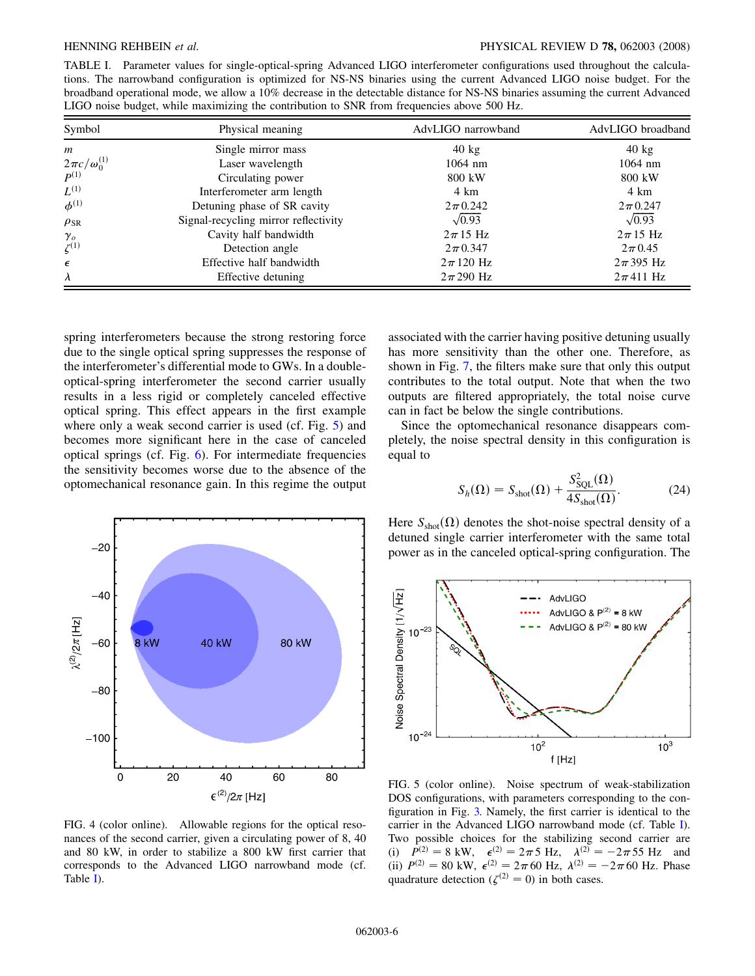<span id="page-5-0"></span>TABLE I. Parameter values for single-optical-spring Advanced LIGO interferometer configurations used throughout the calculations. The narrowband configuration is optimized for NS-NS binaries using the current Advanced LIGO noise budget. For the broadband operational mode, we allow a 10% decrease in the detectable distance for NS-NS binaries assuming the current Advanced LIGO noise budget, while maximizing the contribution to SNR from frequencies above 500 Hz.

| Symbol                            | Physical meaning                     | AdvLIGO narrowband | AdvLIGO broadband |  |
|-----------------------------------|--------------------------------------|--------------------|-------------------|--|
| $\boldsymbol{m}$                  | Single mirror mass                   | $40 \text{ kg}$    | $40 \text{ kg}$   |  |
| $\frac{2\pi c}{\rho^{(1)}}^{(1)}$ | Laser wavelength                     | $1064$ nm          | $1064$ nm         |  |
|                                   | Circulating power                    | 800 kW             | 800 kW            |  |
| $L^{(1)}$                         | Interferometer arm length            | 4 km               | 4 km              |  |
| $\phi^{(1)}$                      | Detuning phase of SR cavity          | $2\pi 0.242$       | $2\pi$ 0.247      |  |
| $\rho_{SR}$                       | Signal-recycling mirror reflectivity | $\sqrt{0.93}$      | $\sqrt{0.93}$     |  |
|                                   | Cavity half bandwidth                | $2\pi$ 15 Hz       | $2\pi$ 15 Hz      |  |
| $\gamma_o$<br>$\zeta^{(1)}$       | Detection angle                      | $2\pi$ 0.347       | $2\pi$ 0.45       |  |
| $\epsilon$                        | Effective half bandwidth             | $2\pi$ 120 Hz      | $2\pi$ 395 Hz     |  |
| $\lambda$                         | Effective detuning                   | $2\pi$ 290 Hz      | $2\pi 411$ Hz     |  |

spring interferometers because the strong restoring force due to the single optical spring suppresses the response of the interferometer's differential mode to GWs. In a doubleoptical-spring interferometer the second carrier usually results in a less rigid or completely canceled effective optical spring. This effect appears in the first example where only a weak second carrier is used (cf. Fig. 5) and becomes more significant here in the case of canceled optical springs (cf. Fig. [6](#page-6-0)). For intermediate frequencies the sensitivity becomes worse due to the absence of the optomechanical resonance gain. In this regime the output



FIG. 4 (color online). Allowable regions for the optical resonances of the second carrier, given a circulating power of 8, 40 and 80 kW, in order to stabilize a 800 kW first carrier that corresponds to the Advanced LIGO narrowband mode (cf. Table I).

associated with the carrier having positive detuning usually has more sensitivity than the other one. Therefore, as shown in Fig. [7,](#page-6-0) the filters make sure that only this output contributes to the total output. Note that when the two outputs are filtered appropriately, the total noise curve can in fact be below the single contributions.

Since the optomechanical resonance disappears completely, the noise spectral density in this configuration is equal to

$$
S_h(\Omega) = S_{\text{shot}}(\Omega) + \frac{S_{\text{SQL}}^2(\Omega)}{4S_{\text{shot}}(\Omega)}.
$$
 (24)

Here  $S<sub>shot</sub>(\Omega)$  denotes the shot-noise spectral density of a detuned single carrier interferometer with the same total power as in the canceled optical-spring configuration. The



FIG. 5 (color online). Noise spectrum of weak-stabilization DOS configurations, with parameters corresponding to the configuration in Fig. [3.](#page-3-0) Namely, the first carrier is identical to the carrier in the Advanced LIGO narrowband mode (cf. Table I). Two possible choices for the stabilizing second carrier are (i)  $P^{(2)} = 8 \text{ kW}, \quad \epsilon^{(2)} = 2\pi 5 \text{ Hz}, \quad \lambda^{(2)} = -2\pi 55 \text{ Hz}$  and (ii)  $P^{(2)} = 80 \text{ kW}, \ \epsilon^{(2)} = 2\pi 60 \text{ Hz}, \ \lambda^{(2)} = -2\pi 60 \text{ Hz}.$  Phase quadrature detection ( $\zeta^{(2)} = 0$ ) in both cases.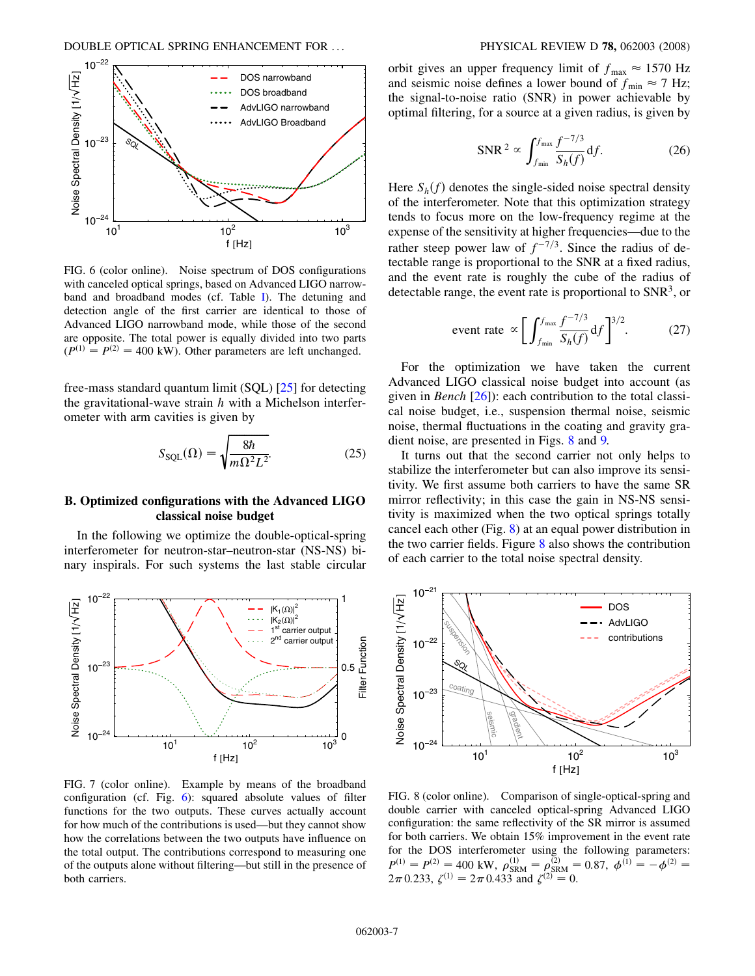<span id="page-6-0"></span>

FIG. 6 (color online). Noise spectrum of DOS configurations with canceled optical springs, based on Advanced LIGO narrowband and broadband modes (cf. Table [I](#page-5-0)). The detuning and detection angle of the first carrier are identical to those of Advanced LIGO narrowband mode, while those of the second are opposite. The total power is equally divided into two parts  $(P^{(1)} = P^{(2)} = 400$  kW). Other parameters are left unchanged.

free-mass standard quantum limit (SQL) [25] for detecting the gravitational-wave strain  $h$  with a Michelson interferometer with arm cavities is given by

$$
S_{\text{SQL}}(\Omega) = \sqrt{\frac{8\hbar}{m\Omega^2 L^2}}.\tag{25}
$$

## B. Optimized configurations with the Advanced LIGO classical noise budget

In the following we optimize the double-optical-spring interferometer for neutron-star–neutron-star (NS-NS) binary inspirals. For such systems the last stable circular



FIG. 7 (color online). Example by means of the broadband configuration (cf. Fig. 6): squared absolute values of filter functions for the two outputs. These curves actually account for how much of the contributions is used—but they cannot show how the correlations between the two outputs have influence on the total output. The contributions correspond to measuring one of the outputs alone without filtering—but still in the presence of both carriers.

orbit gives an upper frequency limit of  $f_{\text{max}} \approx 1570 \text{ Hz}$ and seismic noise defines a lower bound of  $f_{\text{min}} \approx 7$  Hz; the signal-to-noise ratio (SNR) in power achievable by optimal filtering, for a source at a given radius, is given by

$$
\text{SNR}^2 \propto \int_{f_{\text{min}}}^{f_{\text{max}}} \frac{f^{-7/3}}{S_h(f)} \, \mathrm{d}f. \tag{26}
$$

Here  $S_h(f)$  denotes the single-sided noise spectral density of the interferometer. Note that this optimization strategy tends to focus more on the low-frequency regime at the expense of the sensitivity at higher frequencies—due to the rather steep power law of  $f^{-7/3}$ . Since the radius of detectable range is proportional to the SNR at a fixed radius, and the event rate is roughly the cube of the radius of detectable range, the event rate is proportional to  $SNR<sup>3</sup>$ , or

$$
\text{event rate} \propto \left[ \int_{f_{\text{min}}}^{f_{\text{max}}} \frac{f^{-7/3}}{S_h(f)} \, df \right]^{3/2} . \tag{27}
$$

For the optimization we have taken the current Advanced LIGO classical noise budget into account (as given in *Bench*  $[26]$ : each contribution to the total classical noise budget, i.e., suspension thermal noise, seismic noise, thermal fluctuations in the coating and gravity gradient noise, are presented in Figs. 8 and [9.](#page-7-0)

It turns out that the second carrier not only helps to stabilize the interferometer but can also improve its sensitivity. We first assume both carriers to have the same SR mirror reflectivity; in this case the gain in NS-NS sensitivity is maximized when the two optical springs totally cancel each other (Fig. 8) at an equal power distribution in the two carrier fields. Figure 8 also shows the contribution of each carrier to the total noise spectral density.



FIG. 8 (color online). Comparison of single-optical-spring and double carrier with canceled optical-spring Advanced LIGO configuration: the same reflectivity of the SR mirror is assumed for both carriers. We obtain 15% improvement in the event rate for the DOS interferometer using the following parameters:  $P^{(1)} = P^{(2)} = 400 \text{ kW}, \ \rho_{\text{SRM}}^{(1)} = \rho_{\text{SRM}}^{(2)} = 0.87, \ \phi^{(1)} = -\phi^{(2)} =$  $2\pi$  0.233,  $\zeta^{(1)} = 2\pi$  0.433 and  $\zeta^{(2)} = 0$ .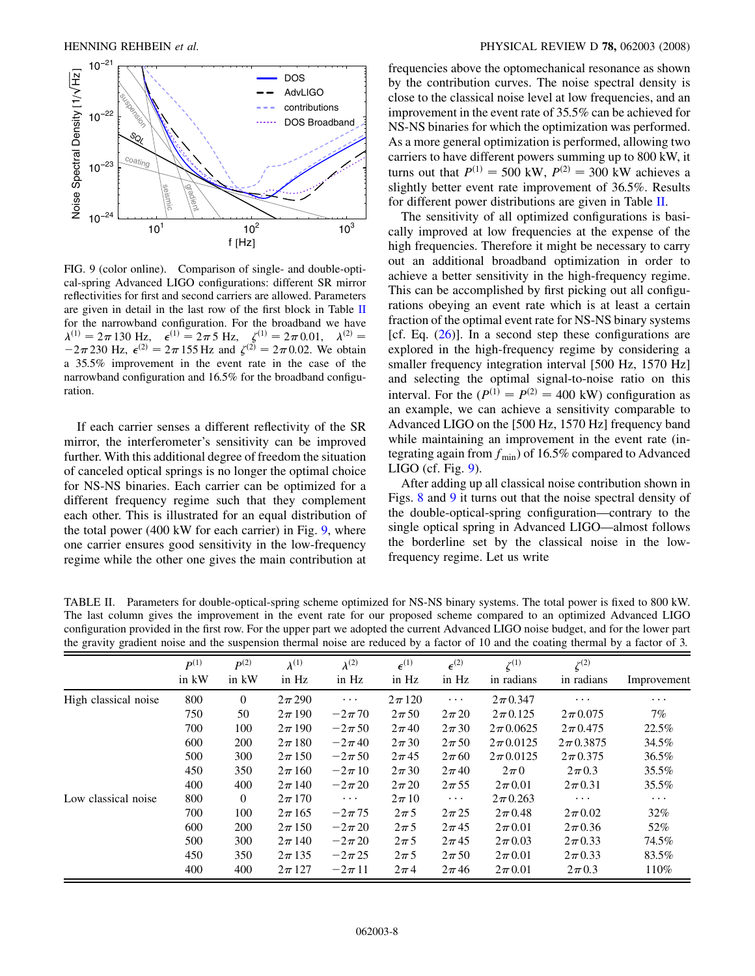<span id="page-7-0"></span>

FIG. 9 (color online). Comparison of single- and double-optical-spring Advanced LIGO configurations: different SR mirror reflectivities for first and second carriers are allowed. Parameters are given in detail in the last row of the first block in Table II for the narrowband configuration. For the broadband we have  $\lambda^{(1)} = 2\pi 130 \text{ Hz}, \quad \epsilon^{(1)} = 2\pi 5 \text{ Hz}, \quad \zeta^{(1)} = 2\pi 0.01, \quad \lambda^{(2)} =$  $-2\pi 230$  Hz,  $\epsilon^{(2)} = 2\pi 155$  Hz and  $\zeta^{(2)} = 2\pi 0.02$ . We obtain a 35.5% improvement in the event rate in the case of the narrowband configuration and 16.5% for the broadband configuration.

If each carrier senses a different reflectivity of the SR mirror, the interferometer's sensitivity can be improved further. With this additional degree of freedom the situation of canceled optical springs is no longer the optimal choice for NS-NS binaries. Each carrier can be optimized for a different frequency regime such that they complement each other. This is illustrated for an equal distribution of the total power (400 kW for each carrier) in Fig. 9, where one carrier ensures good sensitivity in the low-frequency regime while the other one gives the main contribution at frequencies above the optomechanical resonance as shown by the contribution curves. The noise spectral density is close to the classical noise level at low frequencies, and an improvement in the event rate of 35.5% can be achieved for NS-NS binaries for which the optimization was performed. As a more general optimization is performed, allowing two carriers to have different powers summing up to 800 kW, it turns out that  $P^{(1)} = 500$  kW,  $P^{(2)} = 300$  kW achieves a slightly better event rate improvement of 36.5%. Results for different power distributions are given in Table II.

The sensitivity of all optimized configurations is basically improved at low frequencies at the expense of the high frequencies. Therefore it might be necessary to carry out an additional broadband optimization in order to achieve a better sensitivity in the high-frequency regime. This can be accomplished by first picking out all configurations obeying an event rate which is at least a certain fraction of the optimal event rate for NS-NS binary systems [cf. Eq.  $(26)$  $(26)$  $(26)$ ]. In a second step these configurations are explored in the high-frequency regime by considering a smaller frequency integration interval [500 Hz, 1570 Hz] and selecting the optimal signal-to-noise ratio on this interval. For the  $(P^{(1)} = P^{(2)} = 400$  kW) configuration as an example, we can achieve a sensitivity comparable to Advanced LIGO on the [500 Hz, 1570 Hz] frequency band while maintaining an improvement in the event rate (integrating again from  $f_{\text{min}}$ ) of 16.5% compared to Advanced LIGO (cf. Fig. 9).

After adding up all classical noise contribution shown in Figs. [8](#page-6-0) and 9 it turns out that the noise spectral density of the double-optical-spring configuration—contrary to the single optical spring in Advanced LIGO—almost follows the borderline set by the classical noise in the lowfrequency regime. Let us write

TABLE II. Parameters for double-optical-spring scheme optimized for NS-NS binary systems. The total power is fixed to 800 kW. The last column gives the improvement in the event rate for our proposed scheme compared to an optimized Advanced LIGO configuration provided in the first row. For the upper part we adopted the current Advanced LIGO noise budget, and for the lower part the gravity gradient noise and the suspension thermal noise are reduced by a factor of 10 and the coating thermal by a factor of 3.

|                      | $P^{(1)}$ | $\boldsymbol{p}(2)$ | $\lambda^{(1)}$ | $\lambda^{(2)}$ | $\epsilon^{(1)}$ | $\epsilon^{(2)}$ | $\zeta^{(1)}$ | $\zeta^{(2)}$ |             |
|----------------------|-----------|---------------------|-----------------|-----------------|------------------|------------------|---------------|---------------|-------------|
|                      | in kW     | in kW               | in Hz           | in Hz           | in Hz            | in Hz            | in radians    | in radians    | Improvement |
| High classical noise | 800       | $\overline{0}$      | $2\pi$ 290      | $\ldots$        | $2\pi 120$       | $\cdots$         | $2\pi$ 0.347  | $\cdots$      | $\cdots$    |
|                      | 750       | 50                  | $2\pi$ 190      | $-2\pi$ 70      | $2\pi 50$        | $2\pi 20$        | $2\pi$ 0.125  | $2\pi 0.075$  | 7%          |
|                      | 700       | 100                 | $2\pi$ 190      | $-2\pi 50$      | $2\pi$ 40        | $2\pi 30$        | $2\pi 0.0625$ | $2\pi$ 0.475  | 22.5%       |
|                      | 600       | 200                 | $2\pi$ 180      | $-2\pi$ 40      | $2\pi 30$        | $2\pi 50$        | $2\pi 0.0125$ | $2\pi$ 0.3875 | 34.5%       |
|                      | 500       | 300                 | $2\pi 150$      | $-2\pi 50$      | $2\pi$ 45        | $2\pi 60$        | $2\pi 0.0125$ | $2\pi$ 0.375  | 36.5%       |
|                      | 450       | 350                 | $2\pi 160$      | $-2\pi 10$      | $2\pi 30$        | $2\pi$ 40        | $2\pi$ 0      | $2\pi$ 0.3    | 35.5%       |
|                      | 400       | 400                 | $2\pi$ 140      | $-2\pi 20$      | $2\pi 20$        | $2\pi 55$        | $2\pi$ 0.01   | $2\pi$ 0.31   | 35.5%       |
| Low classical noise  | 800       | $\theta$            | $2\pi 170$      | $\ldots$        | $2\pi 10$        | $\cdots$         | $2\pi$ 0.263  | $\cdots$      | $\cdots$    |
|                      | 700       | 100                 | $2\pi 165$      | $-2\pi$ 75      | $2\pi$ 5         | $2\pi 25$        | $2\pi$ 0.48   | $2\pi$ 0.02   | $32\%$      |
|                      | 600       | 200                 | $2\pi 150$      | $-2\pi 20$      | $2\pi$ 5         | $2\pi$ 45        | $2\pi$ 0.01   | $2\pi$ 0.36   | 52%         |
|                      | 500       | 300                 | $2\pi$ 140      | $-2\pi 20$      | $2\pi$ 5         | $2\pi$ 45        | $2\pi 0.03$   | $2\pi$ 0.33   | 74.5%       |
|                      | 450       | 350                 | $2\pi$ 135      | $-2\pi 25$      | $2\pi$ 5         | $2\pi 50$        | $2\pi$ 0.01   | $2\pi$ 0.33   | 83.5%       |
|                      | 400       | 400                 | $2\pi 127$      | $-2\pi 11$      | $2\pi$ 4         | $2\pi$ 46        | $2\pi$ 0.01   | $2\pi$ 0.3    | 110%        |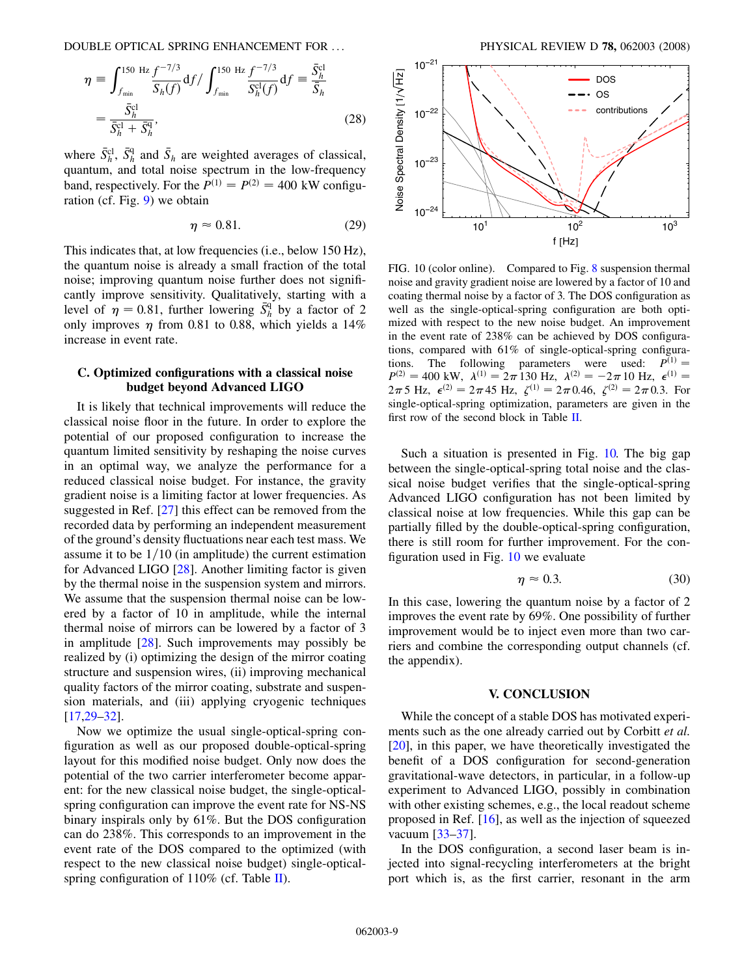DOUBLE OPTICAL SPRING ENHANCEMENT FOR ... PHYSICAL REVIEW D 78, 062003 (2008)

$$
\eta = \int_{f_{\min}}^{150 \text{ Hz}} \frac{f^{-7/3}}{S_h(f)} df / \int_{f_{\min}}^{150 \text{ Hz}} \frac{f^{-7/3}}{S_h^{cl}(f)} df = \frac{\bar{S}_h^{cl}}{\bar{S}_h} = \frac{\bar{S}_h^{cl}}{\bar{S}_h^{cl} + \bar{S}_h^{q}},
$$
(28)

where  $\bar{S}_h^{\text{cl}}$ ,  $\bar{S}_h^{\text{q}}$  and  $\bar{S}_h$  are weighted averages of classical, quantum, and total noise spectrum in the low-frequency band, respectively. For the  $P^{(1)} = P^{(2)} = 400$  kW configuration (cf. Fig. [9\)](#page-7-0) we obtain

$$
\eta \approx 0.81.\tag{29}
$$

This indicates that, at low frequencies (i.e., below 150 Hz), the quantum noise is already a small fraction of the total noise; improving quantum noise further does not significantly improve sensitivity. Qualitatively, starting with a level of  $\eta = 0.81$ , further lowering  $\bar{S}_h^q$  by a factor of 2 only improves  $\eta$  from 0.81 to 0.88, which yields a 14% increase in event rate.

# C. Optimized configurations with a classical noise budget beyond Advanced LIGO

It is likely that technical improvements will reduce the classical noise floor in the future. In order to explore the potential of our proposed configuration to increase the quantum limited sensitivity by reshaping the noise curves in an optimal way, we analyze the performance for a reduced classical noise budget. For instance, the gravity gradient noise is a limiting factor at lower frequencies. As suggested in Ref. [27] this effect can be removed from the recorded data by performing an independent measurement of the ground's density fluctuations near each test mass. We assume it to be  $1/10$  (in amplitude) the current estimation for Advanced LIGO [28]. Another limiting factor is given by the thermal noise in the suspension system and mirrors. We assume that the suspension thermal noise can be lowered by a factor of 10 in amplitude, while the internal thermal noise of mirrors can be lowered by a factor of 3 in amplitude [28]. Such improvements may possibly be realized by (i) optimizing the design of the mirror coating structure and suspension wires, (ii) improving mechanical quality factors of the mirror coating, substrate and suspension materials, and (iii) applying cryogenic techniques [17,29–32].

Now we optimize the usual single-optical-spring configuration as well as our proposed double-optical-spring layout for this modified noise budget. Only now does the potential of the two carrier interferometer become apparent: for the new classical noise budget, the single-opticalspring configuration can improve the event rate for NS-NS binary inspirals only by 61%. But the DOS configuration can do 238%. This corresponds to an improvement in the event rate of the DOS compared to the optimized (with respect to the new classical noise budget) single-opticalspring configuration of  $110\%$  (cf. Table [II\)](#page-7-0).



FIG. 10 (color online). Compared to Fig. [8](#page-6-0) suspension thermal noise and gravity gradient noise are lowered by a factor of 10 and coating thermal noise by a factor of 3. The DOS configuration as well as the single-optical-spring configuration are both optimized with respect to the new noise budget. An improvement in the event rate of 238% can be achieved by DOS configurations, compared with 61% of single-optical-spring configurations. The following parameters were used:  $P^{(1)} =$  $P^{(2)} = 400$  kW,  $\lambda^{(1)} = 2\pi \overline{130}$  Hz,  $\lambda^{(2)} = -2\pi \overline{10}$  Hz,  $\epsilon^{(1)} =$  $2\pi 5$  Hz,  $\epsilon^{(2)} = 2\pi 45$  Hz,  $\zeta^{(1)} = 2\pi 0.46$ ,  $\zeta^{(2)} = 2\pi 0.3$ . For single-optical-spring optimization, parameters are given in the first row of the second block in Table [II](#page-7-0).

Such a situation is presented in Fig. 10. The big gap between the single-optical-spring total noise and the classical noise budget verifies that the single-optical-spring Advanced LIGO configuration has not been limited by classical noise at low frequencies. While this gap can be partially filled by the double-optical-spring configuration, there is still room for further improvement. For the configuration used in Fig. 10 we evaluate

$$
\eta \approx 0.3. \tag{30}
$$

In this case, lowering the quantum noise by a factor of 2 improves the event rate by 69%. One possibility of further improvement would be to inject even more than two carriers and combine the corresponding output channels (cf. the appendix).

#### V. CONCLUSION

While the concept of a stable DOS has motivated experiments such as the one already carried out by Corbitt et al. [20], in this paper, we have theoretically investigated the benefit of a DOS configuration for second-generation gravitational-wave detectors, in particular, in a follow-up experiment to Advanced LIGO, possibly in combination with other existing schemes, e.g., the local readout scheme proposed in Ref. [16], as well as the injection of squeezed vacuum [33[–37\]](#page-10-0).

In the DOS configuration, a second laser beam is injected into signal-recycling interferometers at the bright port which is, as the first carrier, resonant in the arm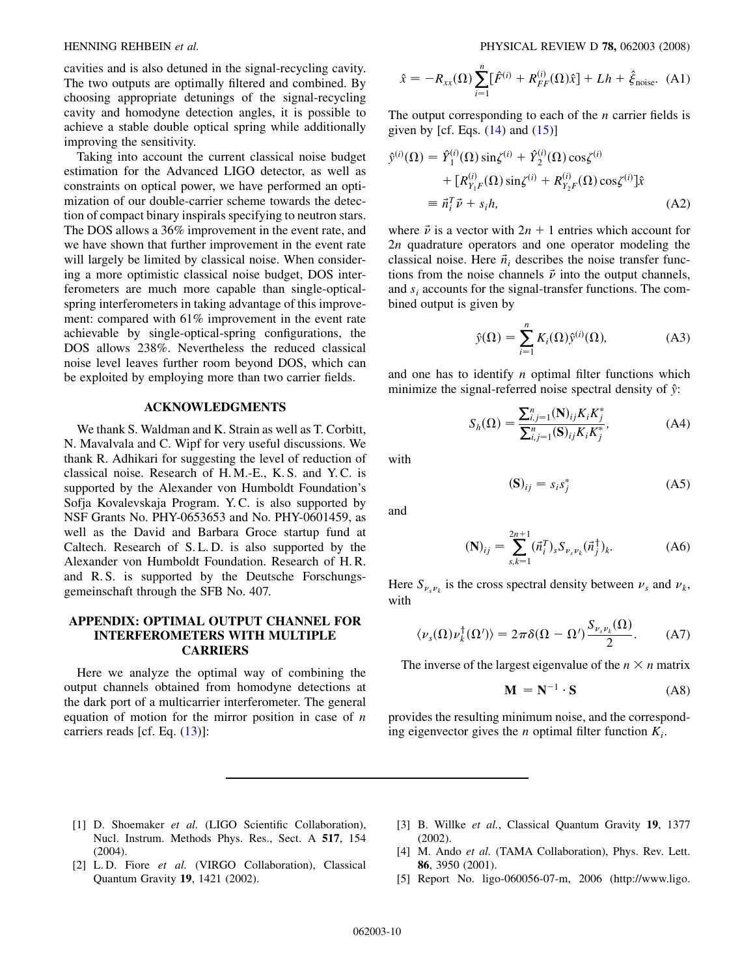<span id="page-9-0"></span>cavities and is also detuned in the signal-recycling cavity. The two outputs are optimally filtered and combined. By choosing appropriate detunings of the signal-recycling cavity and homodyne detection angles, it is possible to achieve a stable double optical spring while additionally improving the sensitivity.

Taking into account the current classical noise budget estimation for the Advanced LIGO detector, as well as constraints on optical power, we have performed an optimization of our double-carrier scheme towards the detection of compact binary inspirals specifying to neutron stars. The DOS allows a 36% improvement in the event rate, and we have shown that further improvement in the event rate will largely be limited by classical noise. When considering a more optimistic classical noise budget, DOS interferometers are much more capable than single-opticalspring interferometers in taking advantage of this improvement: compared with 61% improvement in the event rate achievable by single-optical-spring configurations, the DOS allows 238%. Nevertheless the reduced classical noise level leaves further room beyond DOS, which can be exploited by employing more than two carrier fields.

## ACKNOWLEDGMENTS

We thank S. Waldman and K. Strain as well as T. Corbitt, N. Mavalvala and C. Wipf for very useful discussions. We thank R. Adhikari for suggesting the level of reduction of classical noise. Research of H. M.-E., K. S. and Y. C. is supported by the Alexander von Humboldt Foundation's Sofja Kovalevskaja Program. Y. C. is also supported by NSF Grants No. PHY-0653653 and No. PHY-0601459, as well as the David and Barbara Groce startup fund at Caltech. Research of S. L. D. is also supported by the Alexander von Humboldt Foundation. Research of H. R. and R. S. is supported by the Deutsche Forschungsgemeinschaft through the SFB No. 407.

#### APPENDIX: OPTIMAL OUTPUT CHANNEL FOR INTERFEROMETERS WITH MULTIPLE **CARRIERS**

Here we analyze the optimal way of combining the output channels obtained from homodyne detections at the dark port of a multicarrier interferometer. The general equation of motion for the mirror position in case of  $n$ carriers reads [cf. Eq. ([13](#page-3-0))]:

$$
\hat{x} = -R_{xx}(\Omega) \sum_{i=1}^{n} [\hat{F}^{(i)} + R_{FF}^{(i)}(\Omega)\hat{x}] + Lh + \hat{\xi}_{\text{noise}}.
$$
 (A1)

The output corresponding to each of the  $n$  carrier fields is given by [cf. Eqs.  $(14)$  $(14)$  and  $(15)$ ]

$$
\hat{y}^{(i)}(\Omega) = \hat{Y}_1^{(i)}(\Omega) \sin \zeta^{(i)} + \hat{Y}_2^{(i)}(\Omega) \cos \zeta^{(i)} \n+ [R_{Y_1F}^{(i)}(\Omega) \sin \zeta^{(i)} + R_{Y_2F}^{(i)}(\Omega) \cos \zeta^{(i)}] \hat{x} \n\equiv \vec{n}_i^T \vec{\nu} + s_i h,
$$
\n(A2)

where  $\vec{\nu}$  is a vector with  $2n + 1$  entries which account for 2n quadrature operators and one operator modeling the classical noise. Here  $\vec{n}_i$  describes the noise transfer functions from the noise channels  $\vec{\nu}$  into the output channels, and  $s_i$  accounts for the signal-transfer functions. The combined output is given by

$$
\hat{y}(\Omega) = \sum_{i=1}^{n} K_i(\Omega) \hat{y}^{(i)}(\Omega), \tag{A3}
$$

and one has to identify  $n$  optimal filter functions which minimize the signal-referred noise spectral density of  $\hat{y}$ :

$$
S_h(\Omega) = \frac{\sum_{i,j=1}^n (\mathbf{N})_{ij} K_i K_j^*}{\sum_{i,j=1}^n (\mathbf{S})_{ij} K_i K_j^*},
$$
 (A4)

with

$$
(\mathbf{S})_{ij} = s_i s_j^* \tag{A5}
$$

and

$$
(\mathbf{N})_{ij} = \sum_{s,k=1}^{2n+1} (\vec{n}_i^T)_s S_{\nu_s \nu_k} (\vec{n}_j^{\dagger})_k.
$$
 (A6)

Here  $S_{\nu, \nu_k}$  is the cross spectral density between  $\nu_s$  and  $\nu_k$ , with

$$
\langle \nu_s(\Omega)\nu_k^{\dagger}(\Omega')\rangle = 2\pi\delta(\Omega - \Omega')\frac{S_{\nu_s\nu_k}(\Omega)}{2}.
$$
 (A7)

The inverse of the largest eigenvalue of the  $n \times n$  matrix

$$
\mathbf{M} = \mathbf{N}^{-1} \cdot \mathbf{S} \tag{A8}
$$

provides the resulting minimum noise, and the corresponding eigenvector gives the *n* optimal filter function  $K_i$ .

- [1] D. Shoemaker et al. (LIGO Scientific Collaboration), Nucl. Instrum. Methods Phys. Res., Sect. A 517, 154 (2004).
- [2] L.D. Fiore et al. (VIRGO Collaboration), Classical Quantum Gravity 19, 1421 (2002).
- [3] B. Willke et al., Classical Quantum Gravity 19, 1377 (2002).
- [4] M. Ando et al. (TAMA Collaboration), Phys. Rev. Lett. 86, 3950 (2001).
- [5] Report No. ligo-060056-07-m, 2006 (http://www.ligo.